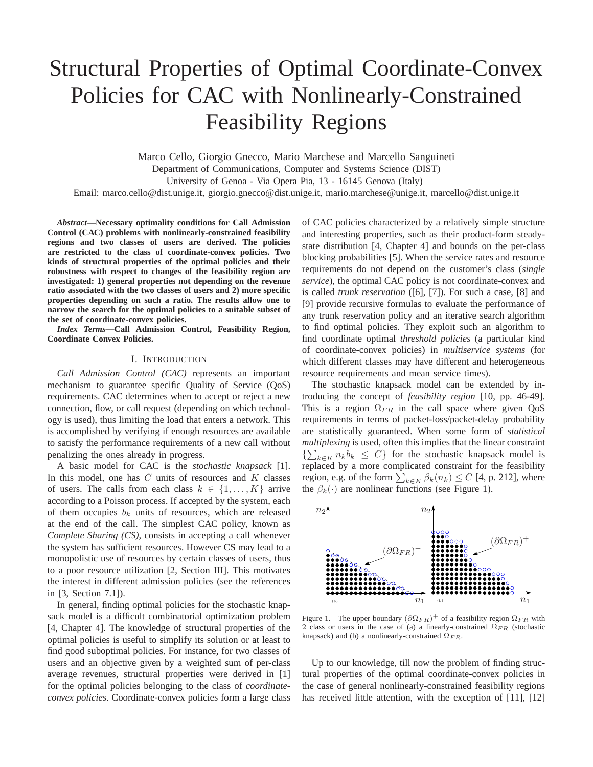# Structural Properties of Optimal Coordinate-Convex Policies for CAC with Nonlinearly-Constrained Feasibility Regions

Marco Cello, Giorgio Gnecco, Mario Marchese and Marcello Sanguineti Department of Communications, Computer and Systems Science (DIST) University of Genoa - Via Opera Pia, 13 - 16145 Genova (Italy)

Email: marco.cello@dist.unige.it, giorgio.gnecco@dist.unige.it, mario.marchese@unige.it, marcello@dist.unige.it

*Abstract***—Necessary optimality conditions for Call Admission Control (CAC) problems with nonlinearly-constrained feasibility regions and two classes of users are derived. The policies are restricted to the class of coordinate-convex policies. Two kinds of structural properties of the optimal policies and their robustness with respect to changes of the feasibility region are investigated: 1) general properties not depending on the revenue ratio associated with the two classes of users and 2) more specific properties depending on such a ratio. The results allow one to narrow the search for the optimal policies to a suitable subset of the set of coordinate-convex policies.**

*Index Terms***—Call Admission Control, Feasibility Region, Coordinate Convex Policies.**

## I. INTRODUCTION

*Call Admission Control (CAC)* represents an important mechanism to guarantee specific Quality of Service (QoS) requirements. CAC determines when to accept or reject a new connection, flow, or call request (depending on which technology is used), thus limiting the load that enters a network. This is accomplished by verifying if enough resources are available to satisfy the performance requirements of a new call without penalizing the ones already in progress.

A basic model for CAC is the *stochastic knapsack* [1]. In this model, one has  $C$  units of resources and  $K$  classes of users. The calls from each class  $k \in \{1, ..., K\}$  arrive according to a Poisson process. If accepted by the system, each of them occupies  $b_k$  units of resources, which are released at the end of the call. The simplest CAC policy, known as *Complete Sharing (CS)*, consists in accepting a call whenever the system has sufficient resources. However CS may lead to a monopolistic use of resources by certain classes of users, thus to a poor resource utilization [2, Section III]. This motivates the interest in different admission policies (see the references in [3, Section 7.1]).

In general, finding optimal policies for the stochastic knapsack model is a difficult combinatorial optimization problem [4, Chapter 4]. The knowledge of structural properties of the optimal policies is useful to simplify its solution or at least to find good suboptimal policies. For instance, for two classes of users and an objective given by a weighted sum of per-class average revenues, structural properties were derived in [1] for the optimal policies belonging to the class of *coordinateconvex policies*. Coordinate-convex policies form a large class of CAC policies characterized by a relatively simple structure and interesting properties, such as their product-form steadystate distribution [4, Chapter 4] and bounds on the per-class blocking probabilities [5]. When the service rates and resource requirements do not depend on the customer's class (*single service*), the optimal CAC policy is not coordinate-convex and is called *trunk reservation* ([6], [7]). For such a case, [8] and [9] provide recursive formulas to evaluate the performance of any trunk reservation policy and an iterative search algorithm to find optimal policies. They exploit such an algorithm to find coordinate optimal *threshold policies* (a particular kind of coordinate-convex policies) in *multiservice systems* (for which different classes may have different and heterogeneous resource requirements and mean service times).

The stochastic knapsack model can be extended by introducing the concept of *feasibility region* [10, pp. 46-49]. This is a region  $\Omega_{FR}$  in the call space where given QoS requirements in terms of packet-loss/packet-delay probability are statistically guaranteed. When some form of *statistical multiplexing* is used, often this implies that the linear constraint  $\{\sum_{k\in K} n_k b_k \leq C\}$  for the stochastic knapsack model is replaced by a more complicated constraint for the feasibility region, e.g. of the form  $\sum_{k \in K} \beta_k(n_k) \le C$  [4, p. 212], where the  $\beta_k(\cdot)$  are nonlinear functions (see Figure 1).



Figure 1. The upper boundary  $(\partial \Omega_{FR})^+$  of a feasibility region  $\Omega_{FR}$  with 2 class or users in the case of (a) a linearly-constrained  $\Omega_{FR}$  (stochastic knapsack) and (b) a nonlinearly-constrained  $\Omega_{FR}$ .

Up to our knowledge, till now the problem of finding structural properties of the optimal coordinate-convex policies in the case of general nonlinearly-constrained feasibility regions has received little attention, with the exception of [11], [12]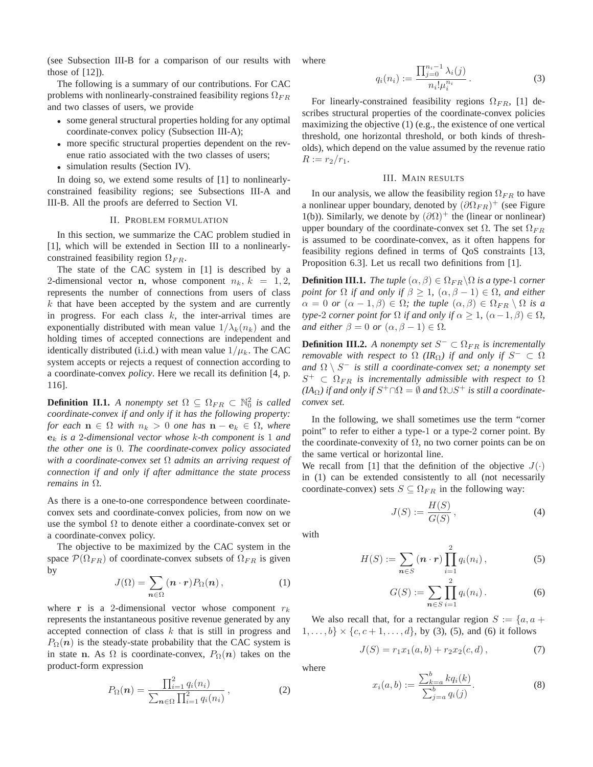(see Subsection III-B for a comparison of our results with those of  $[12]$ ).

The following is a summary of our contributions. For CAC problems with nonlinearly-constrained feasibility regions  $\Omega_{FR}$ and two classes of users, we provide

- some general structural properties holding for any optimal coordinate-convex policy (Subsection III-A);
- more specific structural properties dependent on the revenue ratio associated with the two classes of users;
- simulation results (Section IV).

In doing so, we extend some results of [1] to nonlinearlyconstrained feasibility regions; see Subsections III-A and III-B. All the proofs are deferred to Section VI.

### II. PROBLEM FORMULATION

In this section, we summarize the CAC problem studied in [1], which will be extended in Section III to a nonlinearlyconstrained feasibility region  $\Omega_{FR}$ .

The state of the CAC system in [1] is described by a 2-dimensional vector n, whose component  $n_k$ ,  $k = 1, 2$ , represents the number of connections from users of class  $k$  that have been accepted by the system and are currently in progress. For each class  $k$ , the inter-arrival times are exponentially distributed with mean value  $1/\lambda_k(n_k)$  and the holding times of accepted connections are independent and identically distributed (i.i.d.) with mean value  $1/\mu_k$ . The CAC system accepts or rejects a request of connection according to a coordinate-convex *policy*. Here we recall its definition [4, p. 116].

**Definition II.1.** *A nonempty set*  $\Omega \subseteq \Omega_{FR} \subset \mathbb{N}_0^2$  *is called coordinate-convex if and only if it has the following property: for each*  $n \in \Omega$  *with*  $n_k > 0$  *one has*  $n - e_k \in \Omega$ *, where* e<sup>k</sup> *is a* 2*-dimensional vector whose* k*-th component is* 1 *and the other one is* 0*. The coordinate-convex policy associated with a coordinate-convex set* Ω *admits an arriving request of connection if and only if after admittance the state process remains in* Ω*.*

As there is a one-to-one correspondence between coordinateconvex sets and coordinate-convex policies, from now on we use the symbol  $\Omega$  to denote either a coordinate-convex set or a coordinate-convex policy.

The objective to be maximized by the CAC system in the space  $\mathcal{P}(\Omega_{FR})$  of coordinate-convex subsets of  $\Omega_{FR}$  is given by

$$
J(\Omega) = \sum_{n \in \Omega} (n \cdot r) P_{\Omega}(n) , \qquad (1)
$$

where r is a 2-dimensional vector whose component  $r_k$ represents the instantaneous positive revenue generated by any accepted connection of class k that is still in progress and  $P_{\Omega}(n)$  is the steady-state probability that the CAC system is in state n. As  $\Omega$  is coordinate-convex,  $P_{\Omega}(n)$  takes on the product-form expression

$$
P_{\Omega}(n) = \frac{\prod_{i=1}^{2} q_i(n_i)}{\sum_{n \in \Omega} \prod_{i=1}^{2} q_i(n_i)},
$$
\n(2)

where

$$
q_i(n_i) := \frac{\prod_{j=0}^{n_i - 1} \lambda_i(j)}{n_i! \mu_i^{n_i}}.
$$
 (3)

For linearly-constrained feasibility regions  $\Omega_{FR}$ , [1] describes structural properties of the coordinate-convex policies maximizing the objective (1) (e.g., the existence of one vertical threshold, one horizontal threshold, or both kinds of thresholds), which depend on the value assumed by the revenue ratio  $R := r_2/r_1.$ 

#### III. MAIN RESULTS

In our analysis, we allow the feasibility region  $\Omega_{FR}$  to have a nonlinear upper boundary, denoted by  $(\partial \Omega_{FR})^+$  (see Figure 1(b)). Similarly, we denote by  $(\partial \Omega)^+$  the (linear or nonlinear) upper boundary of the coordinate-convex set  $\Omega$ . The set  $\Omega_{FR}$ is assumed to be coordinate-convex, as it often happens for feasibility regions defined in terms of QoS constraints [13, Proposition 6.3]. Let us recall two definitions from [1].

**Definition III.1.** *The tuple*  $(\alpha, \beta) \in \Omega_{FR} \backslash \Omega$  *is a type-1 corner point for*  $\Omega$  *if and only if*  $\beta \geq 1$ *,*  $(\alpha, \beta - 1) \in \Omega$ *, and either*  $\alpha = 0$  *or*  $(\alpha - 1, \beta) \in \Omega$ ; the tuple  $(\alpha, \beta) \in \Omega_{FR} \setminus \Omega$  is a *type-*2 *corner point for*  $\Omega$  *if and only if*  $\alpha \geq 1$ *,*  $(\alpha - 1, \beta) \in \Omega$ *, and either*  $\beta = 0$  *or*  $(\alpha, \beta - 1) \in \Omega$ .

**Definition III.2.** A nonempty set  $S^- \subset \Omega_{FR}$  is incrementally *removable with respect to*  $\Omega$  (*IR* $_{\Omega}$ *) if and only if*  $S^{-} \subset \Omega$ and  $\Omega \setminus S^-$  *is still a coordinate-convex set; a nonempty set*  $S^+$   $\subset \Omega_{FR}$  *is incrementally admissible with respect to*  $\Omega$  $(IA_{\Omega})$  if and only if  $S^+\cap\Omega=\emptyset$  and  $\Omega\cup S^+$  is still a coordinate*convex set.*

In the following, we shall sometimes use the term "corner point" to refer to either a type-1 or a type-2 corner point. By the coordinate-convexity of  $\Omega$ , no two corner points can be on the same vertical or horizontal line.

We recall from [1] that the definition of the objective  $J(\cdot)$ in (1) can be extended consistently to all (not necessarily coordinate-convex) sets  $S \subseteq \Omega_{FR}$  in the following way:

$$
J(S) := \frac{H(S)}{G(S)},\tag{4}
$$

with

$$
H(S) := \sum_{n \in S} (n \cdot r) \prod_{i=1}^{2} q_i(n_i), \qquad (5)
$$

$$
G(S) := \sum_{n \in S} \prod_{i=1}^{2} q_i(n_i).
$$
 (6)

We also recall that, for a rectangular region  $S := \{a, a +$  $\{1, \ldots, b\} \times \{c, c+1, \ldots, d\}$ , by (3), (5), and (6) it follows

$$
J(S) = r_1 x_1(a, b) + r_2 x_2(c, d), \qquad (7)
$$

where

$$
x_i(a,b) := \frac{\sum_{k=a}^{b} kq_i(k)}{\sum_{j=a}^{b} q_i(j)}.
$$
 (8)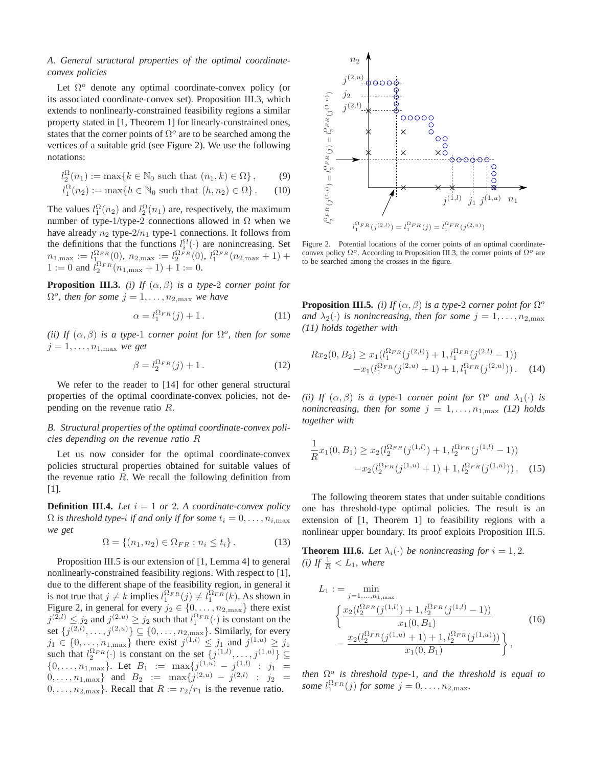## *A. General structural properties of the optimal coordinateconvex policies*

Let  $\Omega^o$  denote any optimal coordinate-convex policy (or its associated coordinate-convex set). Proposition III.3, which extends to nonlinearly-constrained feasibility regions a similar property stated in [1, Theorem 1] for linearly-constrained ones, states that the corner points of  $\Omega^o$  are to be searched among the vertices of a suitable grid (see Figure 2). We use the following notations:

$$
l_2^{\Omega}(n_1) := \max\{k \in \mathbb{N}_0 \text{ such that } (n_1, k) \in \Omega\},\qquad(9)
$$

$$
l_1^{\Omega}(n_2) := \max\{h \in \mathbb{N}_0 \text{ such that } (h, n_2) \in \Omega\}.
$$
 (10)

The values  $l_1^{\Omega}(n_2)$  and  $l_2^{\Omega}(n_1)$  are, respectively, the maximum number of type-1/type-2 connections allowed in  $Ω$  when we have already  $n_2$  type- $2/n_1$  type-1 connections. It follows from the definitions that the functions  $l_i^{\Omega}(\cdot)$  are nonincreasing. Set  $n_{1,\text{max}} := l_{1_\text{Q}}^{\Omega_{FR}}(0), n_{2,\text{max}} := l_{2}^{\Omega_{FR}}(0), l_{1}^{\Omega_{FR}}(n_{2,\text{max}}+1) +$ 1 := 0 and  $l_2^{\Omega_{FR}}(n_{1,\text{max}}+1)+1$  := 0.

**Proposition III.3.** *(i) If*  $(\alpha, \beta)$  *is a type-2 corner point for*  $\Omega^o$ , then for some  $j = 1, \ldots, n_{2, \text{max}}$  we have

$$
\alpha = l_1^{\Omega_{FR}}(j) + 1. \tag{11}
$$

(*ii*) If  $(\alpha, \beta)$  *is a type-1 corner point for*  $\Omega^o$ *, then for some*  $j = 1, \ldots, n_{1, \text{max}}$  *we get* 

$$
\beta = l_2^{\Omega_{FR}}(j) + 1. \tag{12}
$$

We refer to the reader to [14] for other general structural properties of the optimal coordinate-convex policies, not depending on the revenue ratio R.

## *B. Structural properties of the optimal coordinate-convex policies depending on the revenue ratio* R

Let us now consider for the optimal coordinate-convex policies structural properties obtained for suitable values of the revenue ratio  $R$ . We recall the following definition from [1].

**Definition III.4.** Let  $i = 1$  or 2. A coordinate-convex policy  $\Omega$  *is threshold type-i if and only if for some*  $t_i = 0, \ldots, n_{i, \text{max}}$ *we get*

$$
\Omega = \{(n_1, n_2) \in \Omega_{FR} : n_i \le t_i\}.
$$
\n(13)

Proposition III.5 is our extension of [1, Lemma 4] to general nonlinearly-constrained feasibility regions. With respect to [1], due to the different shape of the feasibility region, in general it is not true that  $j \neq k$  implies  $l_1^{\Omega_{FR}}(j) \neq l_1^{\Omega_{FR}}(k)$ . As shown in Figure 2, in general for every  $j_2 \in \{0, \ldots, n_{2,\text{max}}\}\$  there exist  $j^{(2,l)} \leq j_2$  and  $j^{(2,u)} \geq j_2$  such that  $l_1^{\Omega_{FR}}(\cdot)$  is constant on the set  $\{j^{(2,l)}, \ldots, j^{(2,u)}\} \subseteq \{0, \ldots, n_{2,\text{max}}\}.$  Similarly, for every  $j_1 \in \{0, \ldots, n_{1,\text{max}}\}$  there exist  $j^{(1,l)} \leq j_1$  and  $j^{(1,u)} \geq j_1$ such that  $l_2^{\Omega_{FR}}(\cdot)$  is constant on the set  $\{j^{(1,l)},...,j^{(1,u)}\} \subseteq$  $\{0, \ldots, n_{1,\text{max}}\}\$ . Let  $B_1 := \max\{j^{(1,u)} - j^{(1,l)} \; : \; j_1 =$  $0, \ldots, n_{1,\text{max}}\}\$  and  $B_2 := \max\{j^{(2,u)} - j^{(2,l)}\;:\;j_2 =$  $0, \ldots, n_{2,\text{max}}\}.$  Recall that  $R := r_2/r_1$  is the revenue ratio.



Figure 2. Potential locations of the corner points of an optimal coordinateconvex policy  $\Omega^o$ . According to Proposition III.3, the corner points of  $\Omega^o$  are to be searched among the crosses in the figure.

**Proposition III.5.** *(i)* If  $(\alpha, \beta)$  *is a type-2 corner point for*  $\Omega^o$ *and*  $\lambda_2(\cdot)$  *is nonincreasing, then for some*  $j = 1, \ldots, n_{2,\text{max}}$ *(11) holds together with*

$$
Rx_2(0, B_2) \ge x_1(l_1^{\Omega_{FR}}(j^{(2,l)}) + 1, l_1^{\Omega_{FR}}(j^{(2,l)} - 1))
$$
  
- $x_1(l_1^{\Omega_{FR}}(j^{(2,u)} + 1) + 1, l_1^{\Omega_{FR}}(j^{(2,u)})).$  (14)

*(ii)* If  $(\alpha, \beta)$  *is a type-1 corner point for*  $\Omega^o$  *and*  $\lambda_1(\cdot)$  *is nonincreasing, then for some*  $j = 1, \ldots, n_{1,\text{max}}$  *(12) holds together with*

$$
\frac{1}{R}x_1(0,B_1) \ge x_2(l_2^{\Omega_{FR}}(j^{(1,l)}) + 1, l_2^{\Omega_{FR}}(j^{(1,l)} - 1))
$$

$$
-x_2(l_2^{\Omega_{FR}}(j^{(1,u)} + 1) + 1, l_2^{\Omega_{FR}}(j^{(1,u)})). \quad (15)
$$

The following theorem states that under suitable conditions one has threshold-type optimal policies. The result is an extension of [1, Theorem 1] to feasibility regions with a nonlinear upper boundary. Its proof exploits Proposition III.5.

**Theorem III.6.** Let  $\lambda_i(\cdot)$  be nonincreasing for  $i = 1, 2$ . *(i)* If  $\frac{1}{R} < L_1$ *, where* 

$$
L_1 := \min_{j=1,\dots,n_{1,\text{max}}} \left\{ \frac{x_2(l_2^{\Omega_{FR}}(j^{(1,l)}) + 1, l_2^{\Omega_{FR}}(j^{(1,l)} - 1))}{x_1(0, B_1)} - \frac{x_2(l_2^{\Omega_{FR}}(j^{(1,u)} + 1) + 1, l_2^{\Omega_{FR}}(j^{(1,u)}))}{x_1(0, B_1)} \right\},
$$
(16)

*then*  $\Omega^o$  *is threshold type-1, and the threshold is equal to some*  $l_1^{\Omega_{FR}}(j)$  *for some*  $j = 0, \ldots, n_{2, \text{max}}$ *.*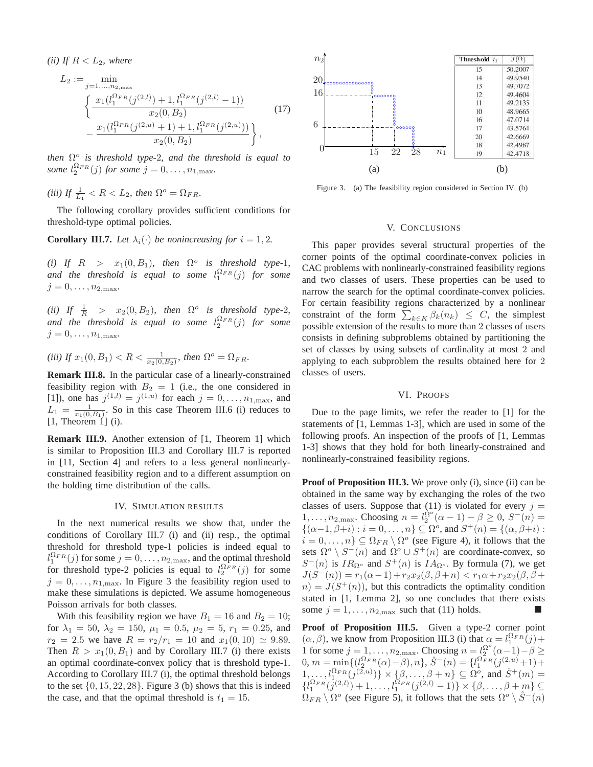*(ii)* If  $R < L_2$ *, where* 

$$
L_2 := \min_{j=1,\ldots,n_{2,\text{max}}} \frac{}{\left\{ \frac{x_1(l_1^{\Omega_{FR}}(j^{(2,l)}) + 1, l_1^{\Omega_{FR}}(j^{(2,l)} - 1))}{x_2(0, B_2)} - \frac{x_1(l_1^{\Omega_{FR}}(j^{(2,u)} + 1) + 1, l_1^{\Omega_{FR}}(j^{(2,u)}))}{x_2(0, B_2)} \right\},
$$
\n
$$
(17)
$$

*then*  $\Omega^o$  *is threshold type-2, and the threshold is equal to some*  $l_2^{\Omega_{FR}}(j)$  *for some*  $j = 0, \ldots, n_{1, \text{max}}$ *.* 

(*iii*) If  $\frac{1}{L_1} < R < L_2$ , then  $\Omega^o = \Omega_{FR}$ .

The following corollary provides sufficient conditions for threshold-type optimal policies.

**Corollary III.7.** Let  $\lambda_i(\cdot)$  be nonincreasing for  $i = 1, 2$ .

(*i*) If  $R > x_1(0, B_1)$ , then  $\Omega^o$  is threshold type-1*,* and the threshold is equal to some  $l_1^{\Omega_{FR}}(j)$  for some  $j = 0, \ldots, n_{2,\text{max}}.$ 

(*ii*) If  $\frac{1}{R}$  >  $x_2(0, B_2)$ , then  $\Omega^o$  is threshold type-2*,* and the threshold is equal to some  $l_2^{\Omega_{FR}}(j)$  for some  $j = 0, \ldots, n_{1,\text{max}}.$ 

(*iii*) If  $x_1(0, B_1) < R < \frac{1}{x_2(0, B_2)}$ , then  $\Omega^o = \Omega_{FR}$ .

**Remark III.8.** In the particular case of a linearly-constrained feasibility region with  $B_2 = 1$  (i.e., the one considered in [1]), one has  $j^{(1,l)} = j^{(1,u)}$  for each  $j = 0, ..., n_{1,\text{max}}$ , and  $L_1 = \frac{1}{x_1(0,B_1)}$ . So in this case Theorem III.6 (i) reduces to  $[1,$  Theorem  $[1]$   $(i)$ .

**Remark III.9.** Another extension of [1, Theorem 1] which is similar to Proposition III.3 and Corollary III.7 is reported in [11, Section 4] and refers to a less general nonlinearlyconstrained feasibility region and to a different assumption on the holding time distribution of the calls.

## IV. SIMULATION RESULTS

In the next numerical results we show that, under the conditions of Corollary III.7 (i) and (ii) resp., the optimal threshold for threshold type-1 policies is indeed equal to  $l_1^{\Omega_{FR}}(j)$  for some  $j = 0, \ldots, n_{2, \text{max}}$ , and the optimal threshold for threshold type-2 policies is equal to  $l_2^{\Omega_{FR}}(j)$  for some  $j = 0, \ldots, n_{1,\text{max}}$ . In Figure 3 the feasibility region used to make these simulations is depicted. We assume homogeneous Poisson arrivals for both classes.

With this feasibility region we have  $B_1 = 16$  and  $B_2 = 10$ ; for  $\lambda_1 = 50$ ,  $\lambda_2 = 150$ ,  $\mu_1 = 0.5$ ,  $\mu_2 = 5$ ,  $r_1 = 0.25$ , and  $r_2 = 2.5$  we have  $R = r_2/r_1 = 10$  and  $x_1(0, 10) \simeq 9.89$ . Then  $R > x_1(0, B_1)$  and by Corollary III.7 (i) there exists an optimal coordinate-convex policy that is threshold type-1. According to Corollary III.7 (i), the optimal threshold belongs to the set  $\{0, 15, 22, 28\}$ . Figure 3 (b) shows that this is indeed the case, and that the optimal threshold is  $t_1 = 15$ .



Figure 3. (a) The feasibility region considered in Section IV. (b)

## V. CONCLUSIONS

This paper provides several structural properties of the corner points of the optimal coordinate-convex policies in CAC problems with nonlinearly-constrained feasibility regions and two classes of users. These properties can be used to narrow the search for the optimal coordinate-convex policies. For certain feasibility regions characterized by a nonlinear constraint of the form  $\sum_{k \in K} \beta_k(n_k) \leq C$ , the simplest possible extension of the results to more than 2 classes of users consists in defining subproblems obtained by partitioning the set of classes by using subsets of cardinality at most 2 and applying to each subproblem the results obtained here for 2 classes of users.

## VI. PROOFS

Due to the page limits, we refer the reader to [1] for the statements of [1, Lemmas 1-3], which are used in some of the following proofs. An inspection of the proofs of [1, Lemmas 1-3] shows that they hold for both linearly-constrained and nonlinearly-constrained feasibility regions.

**Proof of Proposition III.3.** We prove only (i), since (ii) can be obtained in the same way by exchanging the roles of the two classes of users. Suppose that (11) is violated for every  $j =$ 1, ...,  $n_{2,\text{max}}$ . Choosing  $n = l_2^{\Omega^o} (\alpha - 1) - \beta \geq 0$ ,  $S^-(n) =$  $\{(\alpha-1,\beta+i): i=0,\ldots,n\} \subseteq \Omega^o$ , and  $S^+(n) = \{(\alpha,\beta+i):$  $i = 0, \ldots, n$   $\subseteq \Omega_{FR} \setminus \Omega^o$  (see Figure 4), it follows that the sets  $\Omega^o \setminus S^-(n)$  and  $\Omega^o \cup S^+(n)$  are coordinate-convex, so  $S^-(n)$  is  $IR_{\Omega^o}$  and  $S^+(n)$  is  $IA_{\Omega^o}$ . By formula (7), we get  $J(S^-(n)) = r_1(\alpha - 1) + r_2x_2(\beta, \beta + n) < r_1\alpha + r_2x_2(\beta, \beta + n)$  $n) = J(S^+(n))$ , but this contradicts the optimality condition stated in [1, Lemma 2], so one concludes that there exists some  $j = 1, \ldots, n_{2,\text{max}}$  such that (11) holds.

**Proof of Proposition III.5.** Given a type-2 corner point  $(\alpha, \beta)$ , we know from Proposition III.3 (i) that  $\alpha = l_1^{\Omega_{FR}}(j) +$ 1 for some  $j = 1, \ldots, n_{2,\text{max}}$ . Choosing  $n = l_2^{\Omega^o}(\alpha - 1) - \beta \ge$ 0,  $m = \min\{(\iota_2^{\Omega_{FR}}(\alpha) - \beta), n\}, \hat{S}^-(n) = \{\iota_1^{\Omega_{FR}}(j^{(2,u)} + 1) + \alpha\}$  $\{1,\ldots,l_{1}^{\Omega_{FR}}(j^{(\overline{2},u)})\}\times\{\beta,\ldots,\beta+n\}\subseteq\Omega^o,$  and  $\hat{S}^+(m)=1$  $\{l_1^{\Omega_{FR}}(j^{(2,l)})+1,\ldots,l_1^{\Omega_{FR}}(j^{(2,l)}-1)\}\times\{\beta,\ldots,\beta+m\}\subseteq$  $\Omega_{FR} \setminus \Omega^o$  (see Figure 5), it follows that the sets  $\Omega^o \setminus \hat{S}^-(n)$